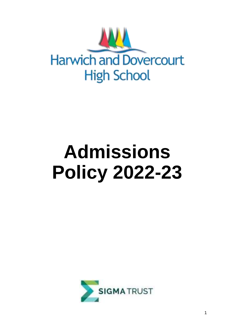

# **Admissions Policy 2022-23**

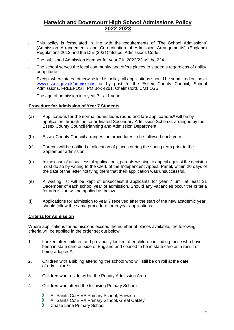## **Harwich and Dovercourt High School Admissions Policy 2022-2023**

- This policy is formulated in line with the requirements of 'The School Admissions' (Admission Arrangements and Co-ordination of Admission Arrangements) (England) Regulations 2012 and the DfE (2021) 'School Admissions Code'.
- The published Admission Number for year 7 in 2022/23 will be 224.
- The school serves the local community and offers places to students regardless of ability or aptitude.
- Except where stated otherwise in this policy, all applications should be submitted online at www.essex.gov.uk/admissions or by post to the Essex County Council, School Admissions, FREEPOST, PO Box 4261, Chelmsford, CM1 1GS.
- The age of admission into year 7 is 11 years.

#### **Procedure for Admission of Year 7 Students**

- (a) Applications for the normal admissions round and late applications\* will be by application through the co-ordinated Secondary Admission Scheme, arranged by the Essex County Council Planning and Admission Department.
- (b) Essex County Council arranges the procedures to be followed each year.
- (c) Parents will be notified of allocation of places during the spring term prior to the September admission.
- (d) In the case of unsuccessful applications, parents wishing to appeal against the decision must do so by writing to the Clerk of the Independent Appeal Panel, within 20 days of the date of the letter notifying them that their application was unsuccessful.
- (e) A waiting list will be kept of unsuccessful applicants for year 7 until at least 31 December of each school year of admission. Should any vacancies occur the criteria for admission will be applied as below.
- (f) Applications for admission to year 7 received after the start of the new academic year should follow the same procedure for in-year applications.

#### **Criteria for Admission**

Where applications for admissions exceed the number of places available, the following criteria will be applied in the order set out below:

- 1. Looked after children and previously looked after children including those who have been in state care outside of England and ceased to be in state care as a result of being adopted#.
- 2. Children with a sibling attending the school who will still be on roll at the date of admission\*\*.
- 3. Children who reside within the Priority Admission Area.
- 4. Children who attend the following Primary Schools:
	- ŋ All Saints CofE VA Primary School, Harwich
	- ÿ All Saints CofE VA Primary School, Great Oakley
	- b) Chase Lane Primary School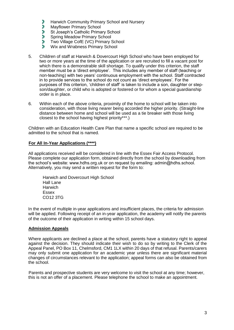- f) Harwich Community Primary School and Nursery
- P, Mayflower Primary School
- 9 St Joseph's Catholic Primary School
- Đ. Spring Meadow Primary School
- ð. Two Village CofE (VC) Primary School
- ÿ. Wix and Wrabness Primary School
- 5. Children of staff at Harwich & Dovercourt High School who have been employed for two or more years at the time of the application or are recruited to fill a vacant post for which there is a demonstrable skill shortage. To qualify under this criterion, the staff member must be a 'direct employee'. This includes any member of staff (teaching or non-teaching) with two years' continuous employment with the school. Staff contracted in to provide services to the school do not count as 'direct employees'. For the purposes of this criterion, 'children of staff' is taken to include a son, daughter or stepson/daughter, or child who is adopted or fostered or for whom a special guardianship order is in place.
- 6. Within each of the above criteria, proximity of the home to school will be taken into consideration, with those living nearer being accorded the higher priority. (Straight-line distance between home and school will be used as a tie breaker with those living closest to the school having highest priority\*\*\*.)

Children with an Education Health Care Plan that name a specific school are required to be admitted to the school that is named.

#### **For All In-Year Applications (\*\*\*\*)**

All applications received will be considered in line with the Essex Fair Access Protocol. Please complete our application form, obtained directly from the school by downloading from the school's website: www.hdhs.org.uk or on request by emailing: admin@hdhs.school. Alternatively, you may send a written request for the form to:

Harwich and Dovercourt High School Hall Lane **Harwich** Essex CO12 3TG

In the event of multiple in-year applications and insufficient places, the criteria for admission will be applied. Following receipt of an in-year application, the academy will notify the parents of the outcome of their application in writing within 15 school days.

#### **Admission Appeals**

Where applicants are declined a place at the school, parents have a statutory right to appeal against the decision. They should indicate their wish to do so by writing to the Clerk of the Appeal Panel, PO Box 11, Chelmsford, CM1 1LX within 20 days of that refusal. Parents/carers may only submit one application for an academic year unless there are significant material changes of circumstances relevant to the application; appeal forms can also be obtained from the school.

Parents and prospective students are very welcome to visit the school at any time; however, this is not an offer of a placement. Please telephone the school to make an appointment.